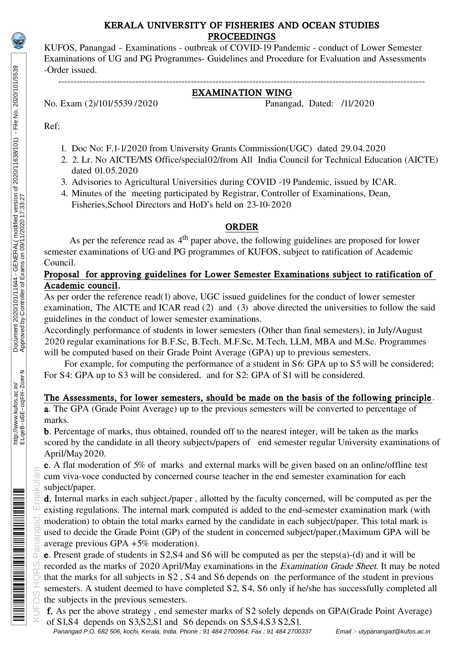## KERALA UNIVERSITY OF FISHERIES AND OCEAN STUDIES PROCEEDINGS

KUFOS, Panangad – Examinations - outbreak of COVID-19 Pandemic - conduct of Lower Semester Examinations of UG and PG Programmes- Guidelines and Procedure for Evaluation and Assessments -Order issued.

#### ----------------------------------------------------------------------------------------------------------------------- EXAMINATION WING

No. Exam (2)/101/5539 /2020 Panangad, Dated: /11/2020

Ref:

- 1. Doc No: F.1-1/2020 from University Grants Commission(UGC) dated 29.04.2020
- 2. 2. Lr. No AICTE/MS Office/special02/from All India Council for Technical Education (AICTE) dated 01.05.2020
- 3. Advisories to Agricultural Universities during COVID -19 Pandemic, issued by ICAR.
- 4. Minutes of the meeting participated by Registrar, Controller of Examinations, Dean, Fisheries,School Directors and HoD's held on 23-10-2020

# ORDER

As per the reference read as 4<sup>th</sup> paper above, the following guidelines are proposed for lower semester examinations of UG and PG programmes of KUFOS, subject to ratification of Academic Council.

# Proposal for approving guidelines for Lower Semester Examinations subject to ratification of Academic council.

As per order the reference read(1) above, UGC issued guidelines for the conduct of lower semester examination. The AICTE and ICAR read (2) and (3) above directed the universities to follow the said guidelines in the conduct of lower semester examinations.

Accordingly performance of students in lower semesters (Other than final semesters), in July/August 2020 regular examinations for B.F.Sc, B.Tech. M.F.Sc, M.Tech, LLM, MBA and M.Sc. Programmes will be computed based on their Grade Point Average (GPA) up to previous semesters.

 For example, for computing the performance of a student in S6: GPA up to S5 will be considered; For S4: GPA up to S3 will be considered, and for S2: GPA of S1 will be considered.

# The Assessments, for lower semesters, should be made on the basis of the following principle .

a. The GPA (Grade Point Average) up to the previous semesters will be converted to percentage of marks.

b. Percentage of marks, thus obtained, rounded off to the nearest integer, will be taken as the marks scored by the candidate in all theory subjects/papers of end semester regular University examinations of April/May2020.

c. A flat moderation of 5% of marks and external marks will be given based on an online/offline test cum viva-voce conducted by concerned course teacher in the end semester examination for each subject/paper.

d. Internal marks in each subject./paper , allotted by the faculty concerned, will be computed as per the existing regulations. The internal mark computed is added to the end-semester examination mark (with moderation) to obtain the total marks earned by the candidate in each subject/paper. This total mark is used to decide the Grade Point (GP) of the student in concerned subject/paper.(Maximum GPA will be average previous GPA +5% moderation).

KUROS HORS, Panangad, Ernakula<br>KUROS HORS, Panangad, Ernakulam<br>KUROS HORS, Ernakula e. Present grade of students in S2,S4 and S6 will be computed as per the steps(a)-(d) and it will be recorded as the marks of 2020 April/May examinations in the Examination Grade Sheet. It may be noted that the marks for all subjects in S2 , S4 and S6 depends on the performance of the student in previous semesters. A student deemed to have completed S2, S4, S6 only if he/she has successfully completed all the subjects in the previous semesters.

 f. As per the above strategy , end semester marks of S2 solely depends on GPA(Grade Point Average) of S1,S4 depends on S3,S2,S1 and S6 depends on S5,S4,S3 S2,S1.

Panangad P.O. 682 506, kochi, Kerala, India. Phone : 91 484 2700964; Fax : 91 484 2700337 Email :- utypanangad@kufos.ac.in

<u>m mahalimining mahalimining ma</u>